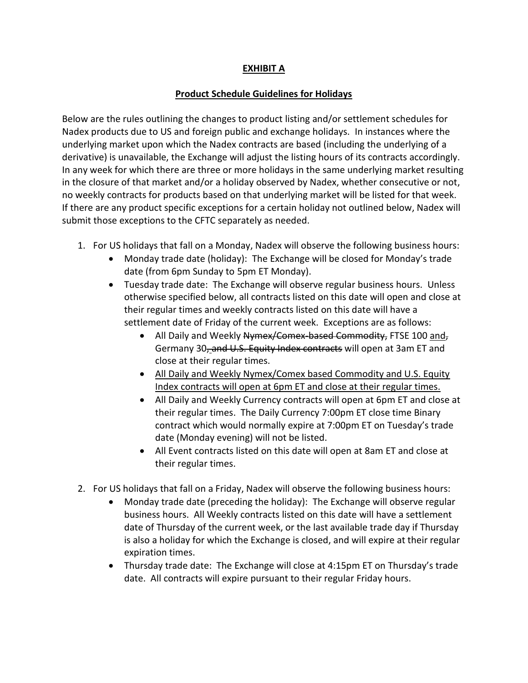## **EXHIBIT A**

## **Product Schedule Guidelines for Holidays**

Below are the rules outlining the changes to product listing and/or settlement schedules for Nadex products due to US and foreign public and exchange holidays. In instances where the underlying market upon which the Nadex contracts are based (including the underlying of a derivative) is unavailable, the Exchange will adjust the listing hours of its contracts accordingly. In any week for which there are three or more holidays in the same underlying market resulting in the closure of that market and/or a holiday observed by Nadex, whether consecutive or not, no weekly contracts for products based on that underlying market will be listed for that week. If there are any product specific exceptions for a certain holiday not outlined below, Nadex will submit those exceptions to the CFTC separately as needed.

- 1. For US holidays that fall on a Monday, Nadex will observe the following business hours:
	- Monday trade date (holiday): The Exchange will be closed for Monday's trade date (from 6pm Sunday to 5pm ET Monday).
	- Tuesday trade date: The Exchange will observe regular business hours. Unless otherwise specified below, all contracts listed on this date will open and close at their regular times and weekly contracts listed on this date will have a settlement date of Friday of the current week. Exceptions are as follows:
		- All Daily and Weekly Nymex/Comex-based Commodity, FTSE 100 and, Germany 30, and U.S. Equity Index contracts will open at 3am ET and close at their regular times.
		- All Daily and Weekly Nymex/Comex based Commodity and U.S. Equity Index contracts will open at 6pm ET and close at their regular times.
		- All Daily and Weekly Currency contracts will open at 6pm ET and close at their regular times. The Daily Currency 7:00pm ET close time Binary contract which would normally expire at 7:00pm ET on Tuesday's trade date (Monday evening) will not be listed.
		- All Event contracts listed on this date will open at 8am ET and close at their regular times.
- 2. For US holidays that fall on a Friday, Nadex will observe the following business hours:
	- Monday trade date (preceding the holiday): The Exchange will observe regular business hours. All Weekly contracts listed on this date will have a settlement date of Thursday of the current week, or the last available trade day if Thursday is also a holiday for which the Exchange is closed, and will expire at their regular expiration times.
	- Thursday trade date: The Exchange will close at 4:15pm ET on Thursday's trade date. All contracts will expire pursuant to their regular Friday hours.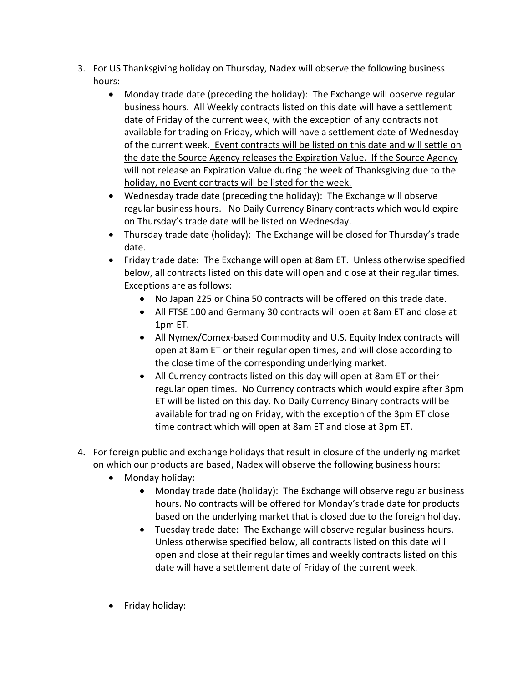- 3. For US Thanksgiving holiday on Thursday, Nadex will observe the following business hours:
	- Monday trade date (preceding the holiday): The Exchange will observe regular business hours. All Weekly contracts listed on this date will have a settlement date of Friday of the current week, with the exception of any contracts not available for trading on Friday, which will have a settlement date of Wednesday of the current week. Event contracts will be listed on this date and will settle on the date the Source Agency releases the Expiration Value. If the Source Agency will not release an Expiration Value during the week of Thanksgiving due to the holiday, no Event contracts will be listed for the week.
	- Wednesday trade date (preceding the holiday): The Exchange will observe regular business hours. No Daily Currency Binary contracts which would expire on Thursday's trade date will be listed on Wednesday.
	- Thursday trade date (holiday): The Exchange will be closed for Thursday's trade date.
	- Friday trade date: The Exchange will open at 8am ET. Unless otherwise specified below, all contracts listed on this date will open and close at their regular times. Exceptions are as follows:
		- No Japan 225 or China 50 contracts will be offered on this trade date.
		- All FTSE 100 and Germany 30 contracts will open at 8am ET and close at 1pm ET.
		- All Nymex/Comex-based Commodity and U.S. Equity Index contracts will open at 8am ET or their regular open times, and will close according to the close time of the corresponding underlying market.
		- All Currency contracts listed on this day will open at 8am ET or their regular open times. No Currency contracts which would expire after 3pm ET will be listed on this day. No Daily Currency Binary contracts will be available for trading on Friday, with the exception of the 3pm ET close time contract which will open at 8am ET and close at 3pm ET.
- 4. For foreign public and exchange holidays that result in closure of the underlying market on which our products are based, Nadex will observe the following business hours:
	- Monday holiday:
		- Monday trade date (holiday): The Exchange will observe regular business hours. No contracts will be offered for Monday's trade date for products based on the underlying market that is closed due to the foreign holiday.
		- Tuesday trade date: The Exchange will observe regular business hours. Unless otherwise specified below, all contracts listed on this date will open and close at their regular times and weekly contracts listed on this date will have a settlement date of Friday of the current week.
	- Friday holiday: